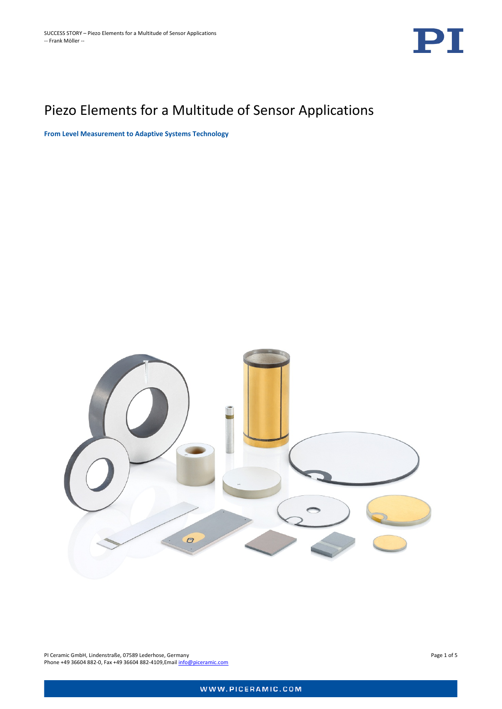

# Piezo Elements for a Multitude of Sensor Applications

**From Level Measurement to Adaptive Systems Technology**



PI Ceramic GmbH, Lindenstraße, 07589 Lederhose, Germany Page 1 of 5 Phone +49 36604 882-0, Fax +49 36604 882-4109, Email [info@piceramic.com](mailto:info@piceramic.com)

WWW.PICERAMIC.COM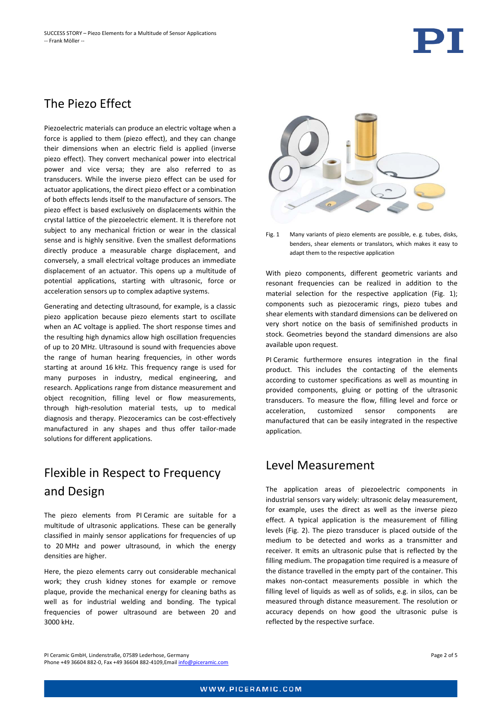#### The Piezo Effect

Piezoelectric materials can produce an electric voltage when a force is applied to them (piezo effect), and they can change their dimensions when an electric field is applied (inverse piezo effect). They convert mechanical power into electrical power and vice versa; they are also referred to as transducers. While the inverse piezo effect can be used for actuator applications, the direct piezo effect or a combination of both effects lends itself to the manufacture of sensors. The piezo effect is based exclusively on displacements within the crystal lattice of the piezoelectric element. It is therefore not subject to any mechanical friction or wear in the classical sense and is highly sensitive. Even the smallest deformations directly produce a measurable charge displacement, and conversely, a small electrical voltage produces an immediate displacement of an actuator. This opens up a multitude of potential applications, starting with ultrasonic, force or acceleration sensors up to complex adaptive systems.

Generating and detecting ultrasound, for example, is a classic piezo application because piezo elements start to oscillate when an AC voltage is applied. The short response times and the resulting high dynamics allow high oscillation frequencies of up to 20 MHz. Ultrasound is sound with frequencies above the range of human hearing frequencies, in other words starting at around 16 kHz. This frequency range is used for many purposes in industry, medical engineering, and research. Applications range from distance measurement and object recognition, filling level or flow measurements, through high-resolution material tests, up to medical diagnosis and therapy. Piezoceramics can be cost-effectively manufactured in any shapes and thus offer tailor-made solutions for different applications.

### Flexible in Respect to Frequency and Design

The piezo elements from PI Ceramic are suitable for a multitude of ultrasonic applications. These can be generally classified in mainly sensor applications for frequencies of up to 20 MHz and power ultrasound, in which the energy densities are higher.

Here, the piezo elements carry out considerable mechanical work; they crush kidney stones for example or remove plaque, provide the mechanical energy for cleaning baths as well as for industrial welding and bonding. The typical frequencies of power ultrasound are between 20 and 3000 kHz.



Fig. 1 Many variants of piezo elements are possible, e. g. tubes, disks, benders, shear elements or translators, which makes it easy to adapt them to the respective application

With piezo components, different geometric variants and resonant frequencies can be realized in addition to the material selection for the respective application (Fig. 1); components such as piezoceramic rings, piezo tubes and shear elements with standard dimensions can be delivered on very short notice on the basis of semifinished products in stock. Geometries beyond the standard dimensions are also available upon request.

PI Ceramic furthermore ensures integration in the final product. This includes the contacting of the elements according to customer specifications as well as mounting in provided components, gluing or potting of the ultrasonic transducers. To measure the flow, filling level and force or acceleration, customized sensor components are manufactured that can be easily integrated in the respective application.

#### Level Measurement

The application areas of piezoelectric components in industrial sensors vary widely: ultrasonic delay measurement, for example, uses the direct as well as the inverse piezo effect. A typical application is the measurement of filling levels (Fig. 2). The piezo transducer is placed outside of the medium to be detected and works as a transmitter and receiver. It emits an ultrasonic pulse that is reflected by the filling medium. The propagation time required is a measure of the distance travelled in the empty part of the container. This makes non-contact measurements possible in which the filling level of liquids as well as of solids, e.g. in silos, can be measured through distance measurement. The resolution or accuracy depends on how good the ultrasonic pulse is reflected by the respective surface.

PI Ceramic GmbH, Lindenstraße, 07589 Lederhose, Germany Page 2 of 5 Phone +49 36604 882-0, Fax +49 36604 882-4109,Email [info@piceramic.com](mailto:info@piceramic.com)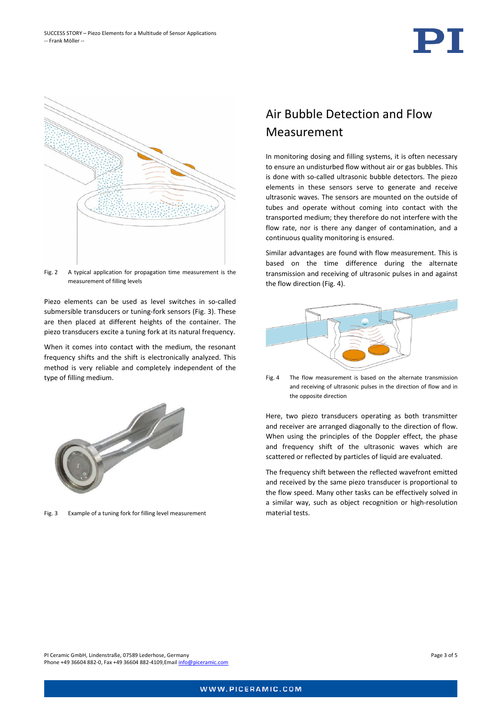



Fig. 2 A typical application for propagation time measurement is the measurement of filling levels

Piezo elements can be used as level switches in so-called submersible transducers or tuning-fork sensors (Fig. 3). These are then placed at different heights of the container. The piezo transducers excite a tuning fork at its natural frequency.

When it comes into contact with the medium, the resonant frequency shifts and the shift is electronically analyzed. This method is very reliable and completely independent of the type of filling medium.



Fig. 3 Example of a tuning fork for filling level measurement

#### Air Bubble Detection and Flow Measurement

In monitoring dosing and filling systems, it is often necessary to ensure an undisturbed flow without air or gas bubbles. This is done with so-called ultrasonic bubble detectors. The piezo elements in these sensors serve to generate and receive ultrasonic waves. The sensors are mounted on the outside of tubes and operate without coming into contact with the transported medium; they therefore do not interfere with the flow rate, nor is there any danger of contamination, and a continuous quality monitoring is ensured.

Similar advantages are found with flow measurement. This is based on the time difference during the alternate transmission and receiving of ultrasonic pulses in and against the flow direction (Fig. 4).



Fig. 4 The flow measurement is based on the alternate transmission and receiving of ultrasonic pulses in the direction of flow and in the opposite direction

Here, two piezo transducers operating as both transmitter and receiver are arranged diagonally to the direction of flow. When using the principles of the Doppler effect, the phase and frequency shift of the ultrasonic waves which are scattered or reflected by particles of liquid are evaluated.

The frequency shift between the reflected wavefront emitted and received by the same piezo transducer is proportional to the flow speed. Many other tasks can be effectively solved in a similar way, such as object recognition or high-resolution material tests.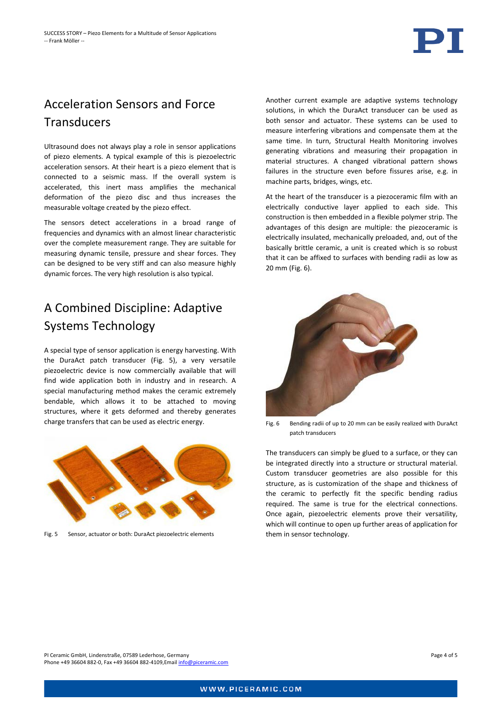

## Acceleration Sensors and Force **Transducers**

Ultrasound does not always play a role in sensor applications of piezo elements. A typical example of this is piezoelectric acceleration sensors. At their heart is a piezo element that is connected to a seismic mass. If the overall system is accelerated, this inert mass amplifies the mechanical deformation of the piezo disc and thus increases the measurable voltage created by the piezo effect.

The sensors detect accelerations in a broad range of frequencies and dynamics with an almost linear characteristic over the complete measurement range. They are suitable for measuring dynamic tensile, pressure and shear forces. They can be designed to be very stiff and can also measure highly dynamic forces. The very high resolution is also typical.

### A Combined Discipline: Adaptive Systems Technology

A special type of sensor application is energy harvesting. With the DuraAct patch transducer (Fig. 5), a very versatile piezoelectric device is now commercially available that will find wide application both in industry and in research. A special manufacturing method makes the ceramic extremely bendable, which allows it to be attached to moving structures, where it gets deformed and thereby generates charge transfers that can be used as electric energy.



Fig. 5 Sensor, actuator or both: DuraAct piezoelectric elements

Another current example are adaptive systems technology solutions, in which the DuraAct transducer can be used as both sensor and actuator. These systems can be used to measure interfering vibrations and compensate them at the same time. In turn, Structural Health Monitoring involves generating vibrations and measuring their propagation in material structures. A changed vibrational pattern shows failures in the structure even before fissures arise, e.g. in machine parts, bridges, wings, etc.

At the heart of the transducer is a piezoceramic film with an electrically conductive layer applied to each side. This construction is then embedded in a flexible polymer strip. The advantages of this design are multiple: the piezoceramic is electrically insulated, mechanically preloaded, and, out of the basically brittle ceramic, a unit is created which is so robust that it can be affixed to surfaces with bending radii as low as 20 mm (Fig. 6).



Fig. 6 Bending radii of up to 20 mm can be easily realized with DuraAct patch transducers

The transducers can simply be glued to a surface, or they can be integrated directly into a structure or structural material. Custom transducer geometries are also possible for this structure, as is customization of the shape and thickness of the ceramic to perfectly fit the specific bending radius required. The same is true for the electrical connections. Once again, piezoelectric elements prove their versatility, which will continue to open up further areas of application for them in sensor technology.